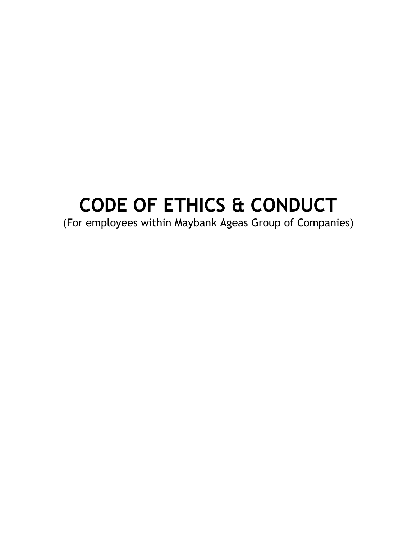# **CODE OF ETHICS & CONDUCT**

(For employees within Maybank Ageas Group of Companies)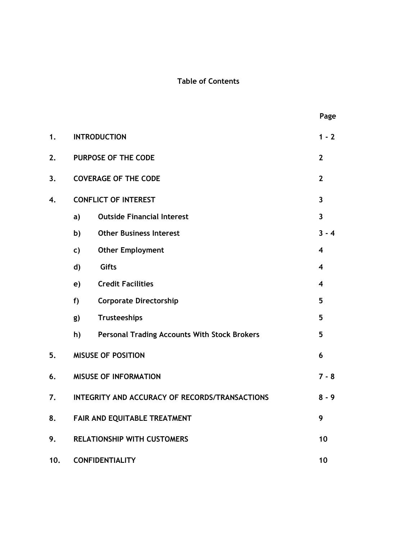# **Table of Contents**

|     |                                                |                                                     | Page                    |
|-----|------------------------------------------------|-----------------------------------------------------|-------------------------|
| 1.  | <b>INTRODUCTION</b>                            |                                                     |                         |
| 2.  | PURPOSE OF THE CODE                            |                                                     | $\overline{2}$          |
| 3.  |                                                | <b>COVERAGE OF THE CODE</b>                         | $\mathbf{2}$            |
| 4.  |                                                | <b>CONFLICT OF INTEREST</b>                         | $\overline{\mathbf{3}}$ |
|     | a)                                             | <b>Outside Financial Interest</b>                   | $\overline{3}$          |
|     | b)                                             | <b>Other Business Interest</b>                      | $3 - 4$                 |
|     | c)                                             | <b>Other Employment</b>                             | 4                       |
|     | d)                                             | Gifts                                               | 4                       |
|     | e)                                             | <b>Credit Facilities</b>                            | $\overline{\mathbf{4}}$ |
|     | f                                              | <b>Corporate Directorship</b>                       | 5                       |
|     | g)                                             | Trusteeships                                        | 5                       |
|     | h)                                             | <b>Personal Trading Accounts With Stock Brokers</b> | 5                       |
| 5.  | <b>MISUSE OF POSITION</b><br>6                 |                                                     |                         |
| 6.  | <b>MISUSE OF INFORMATION</b><br>$7 - 8$        |                                                     |                         |
| 7.  | INTEGRITY AND ACCURACY OF RECORDS/TRANSACTIONS |                                                     |                         |
| 8.  | FAIR AND EQUITABLE TREATMENT                   |                                                     |                         |
| 9.  | <b>RELATIONSHIP WITH CUSTOMERS</b>             |                                                     |                         |
| 10. | <b>CONFIDENTIALITY</b><br>10                   |                                                     |                         |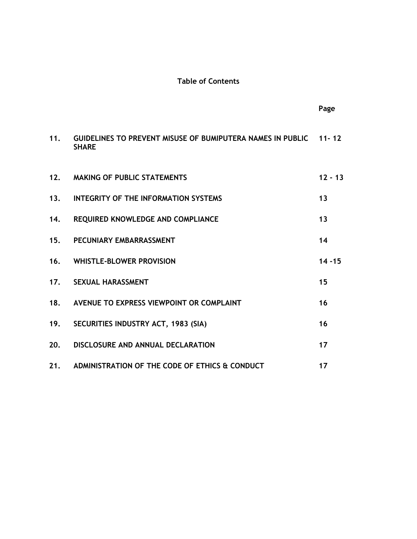# **Table of Contents**

|     |                                                                                  | Page      |
|-----|----------------------------------------------------------------------------------|-----------|
| 11. | GUIDELINES TO PREVENT MISUSE OF BUMIPUTERA NAMES IN PUBLIC 11-12<br><b>SHARE</b> |           |
| 12. | <b>MAKING OF PUBLIC STATEMENTS</b>                                               | $12 - 13$ |
| 13. | <b>INTEGRITY OF THE INFORMATION SYSTEMS</b>                                      | 13        |
| 14. | REQUIRED KNOWLEDGE AND COMPLIANCE                                                | 13        |
| 15. | PECUNIARY EMBARRASSMENT                                                          | 14        |
| 16. | <b>WHISTLE-BLOWER PROVISION</b>                                                  | $14 - 15$ |
| 17. | <b>SEXUAL HARASSMENT</b>                                                         | 15        |
| 18. | AVENUE TO EXPRESS VIEWPOINT OR COMPLAINT                                         | 16        |
| 19. | SECURITIES INDUSTRY ACT, 1983 (SIA)                                              | 16        |
| 20. | DISCLOSURE AND ANNUAL DECLARATION                                                | 17        |
| 21. | ADMINISTRATION OF THE CODE OF ETHICS & CONDUCT                                   | 17        |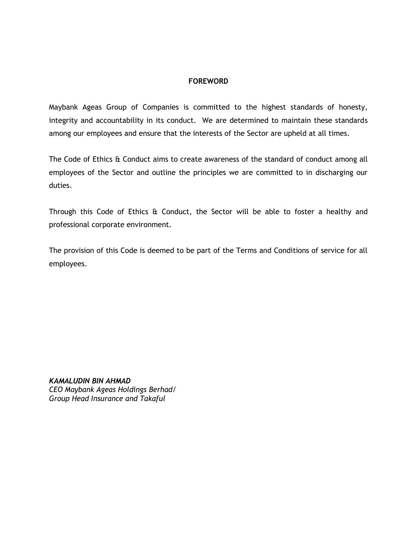#### **FOREWORD**

Maybank Ageas Group of Companies is committed to the highest standards of honesty, integrity and accountability in its conduct. We are determined to maintain these standards among our employees and ensure that the interests of the Sector are upheld at all times.

The Code of Ethics & Conduct aims to create awareness of the standard of conduct among all employees of the Sector and outline the principles we are committed to in discharging our duties.

Through this Code of Ethics & Conduct, the Sector will be able to foster a healthy and professional corporate environment.

The provision of this Code is deemed to be part of the Terms and Conditions of service for all employees.

*KAMALUDIN BIN AHMAD CEO Maybank Ageas Holdings Berhad/ Group Head Insurance and Takaful*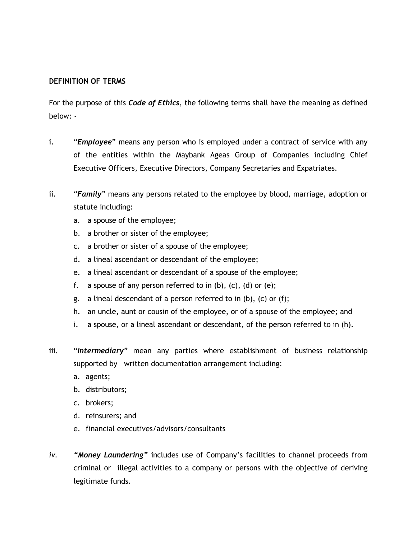#### **DEFINITION OF TERMS**

For the purpose of this *Code of Ethics*, the following terms shall have the meaning as defined below: -

- i. "*Employee*" means any person who is employed under a contract of service with any of the entities within the Maybank Ageas Group of Companies including Chief Executive Officers, Executive Directors, Company Secretaries and Expatriates.
- ii. "*Family*" means any persons related to the employee by blood, marriage, adoption or statute including:
	- a. a spouse of the employee;
	- b. a brother or sister of the employee;
	- c. a brother or sister of a spouse of the employee;
	- d. a lineal ascendant or descendant of the employee;
	- e. a lineal ascendant or descendant of a spouse of the employee;
	- f. a spouse of any person referred to in  $(b)$ ,  $(c)$ ,  $(d)$  or  $(e)$ ;
	- g. a lineal descendant of a person referred to in (b), (c) or (f);
	- h. an uncle, aunt or cousin of the employee, or of a spouse of the employee; and
	- i. a spouse, or a lineal ascendant or descendant, of the person referred to in (h).
- iii. "*Intermediary*" mean any parties where establishment of business relationship supported by written documentation arrangement including:
	- a. agents;
	- b. distributors;
	- c. brokers;
	- d. reinsurers; and
	- e. financial executives/advisors/consultants
- *iv. "Money Laundering"* includes use of Company's facilities to channel proceeds from criminal or illegal activities to a company or persons with the objective of deriving legitimate funds.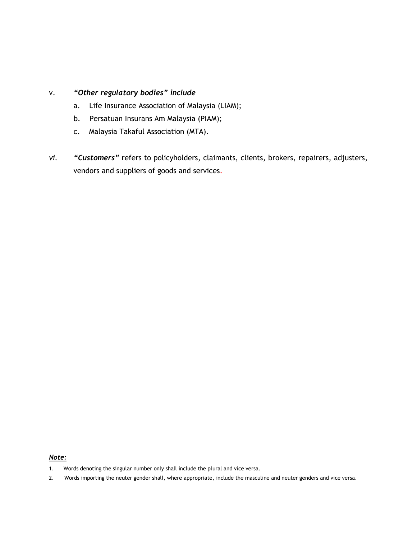# v. *"Other regulatory bodies" include*

- a. Life Insurance Association of Malaysia (LIAM);
- b. Persatuan Insurans Am Malaysia (PIAM);
- c. Malaysia Takaful Association (MTA).
- *vi. "Customers"* refers to policyholders, claimants, clients, brokers, repairers, adjusters, vendors and suppliers of goods and services.

#### *Note:*

- 1. Words denoting the singular number only shall include the plural and vice versa.
- 2. Words importing the neuter gender shall, where appropriate, include the masculine and neuter genders and vice versa.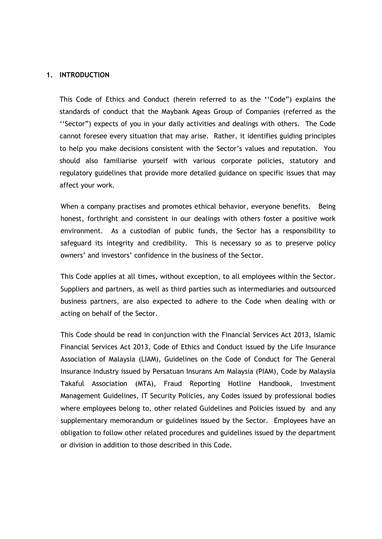#### **1. INTRODUCTION**

This Code of Ethics and Conduct (herein referred to as the ''Code") explains the standards of conduct that the Maybank Ageas Group of Companies (referred as the ''Sector") expects of you in your daily activities and dealings with others. The Code cannot foresee every situation that may arise. Rather, it identifies guiding principles to help you make decisions consistent with the Sector's values and reputation. You should also familiarise yourself with various corporate policies, statutory and regulatory guidelines that provide more detailed guidance on specific issues that may affect your work.

When a company practises and promotes ethical behavior, everyone benefits. Being honest, forthright and consistent in our dealings with others foster a positive work environment. As a custodian of public funds, the Sector has a responsibility to safeguard its integrity and credibility. This is necessary so as to preserve policy owners' and investors' confidence in the business of the Sector.

This Code applies at all times, without exception, to all employees within the Sector. Suppliers and partners, as well as third parties such as intermediaries and outsourced business partners, are also expected to adhere to the Code when dealing with or acting on behalf of the Sector.

This Code should be read in conjunction with the Financial Services Act 2013, Islamic Financial Services Act 2013, Code of Ethics and Conduct issued by the Life Insurance Association of Malaysia (LIAM), Guidelines on the Code of Conduct for The General Insurance Industry issued by Persatuan Insurans Am Malaysia (PIAM), Code by Malaysia Takaful Association (MTA), Fraud Reporting Hotline Handbook, Investment Management Guidelines, IT Security Policies, any Codes issued by professional bodies where employees belong to, other related Guidelines and Policies issued by and any supplementary memorandum or guidelines issued by the Sector. Employees have an obligation to follow other related procedures and guidelines issued by the department or division in addition to those described in this Code.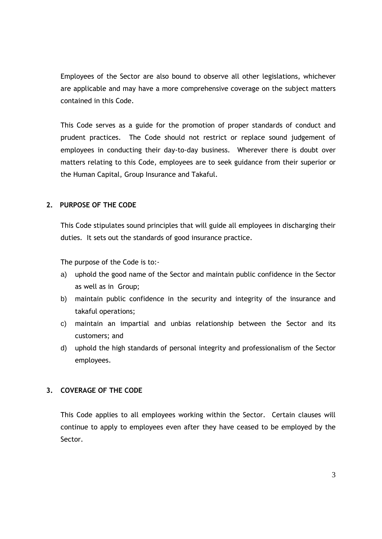Employees of the Sector are also bound to observe all other legislations, whichever are applicable and may have a more comprehensive coverage on the subject matters contained in this Code.

This Code serves as a guide for the promotion of proper standards of conduct and prudent practices. The Code should not restrict or replace sound judgement of employees in conducting their day-to-day business. Wherever there is doubt over matters relating to this Code, employees are to seek guidance from their superior or the Human Capital, Group Insurance and Takaful.

#### **2. PURPOSE OF THE CODE**

This Code stipulates sound principles that will guide all employees in discharging their duties. It sets out the standards of good insurance practice.

The purpose of the Code is to:-

- a) uphold the good name of the Sector and maintain public confidence in the Sector as well as in Group;
- b) maintain public confidence in the security and integrity of the insurance and takaful operations;
- c) maintain an impartial and unbias relationship between the Sector and its customers; and
- d) uphold the high standards of personal integrity and professionalism of the Sector employees.

# **3. COVERAGE OF THE CODE**

This Code applies to all employees working within the Sector. Certain clauses will continue to apply to employees even after they have ceased to be employed by the Sector.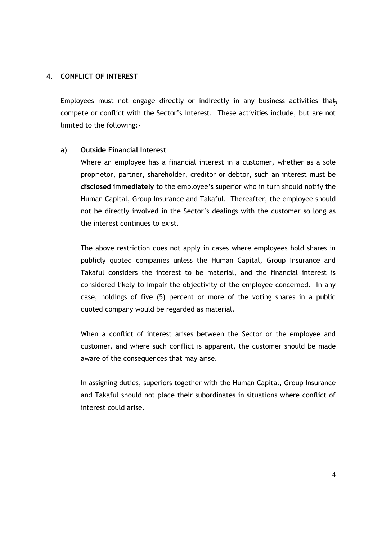#### **4. CONFLICT OF INTEREST**

Employees must not engage directly or indirectly in any business activities that<sub>2</sub> compete or conflict with the Sector's interest. These activities include, but are not limited to the following:-

# **a) Outside Financial Interest**

Where an employee has a financial interest in a customer, whether as a sole proprietor, partner, shareholder, creditor or debtor, such an interest must be **disclosed immediately** to the employee's superior who in turn should notify the Human Capital, Group Insurance and Takaful. Thereafter, the employee should not be directly involved in the Sector's dealings with the customer so long as the interest continues to exist.

The above restriction does not apply in cases where employees hold shares in publicly quoted companies unless the Human Capital, Group Insurance and Takaful considers the interest to be material, and the financial interest is considered likely to impair the objectivity of the employee concerned. In any case, holdings of five (5) percent or more of the voting shares in a public quoted company would be regarded as material.

When a conflict of interest arises between the Sector or the employee and customer, and where such conflict is apparent, the customer should be made aware of the consequences that may arise.

In assigning duties, superiors together with the Human Capital, Group Insurance and Takaful should not place their subordinates in situations where conflict of interest could arise.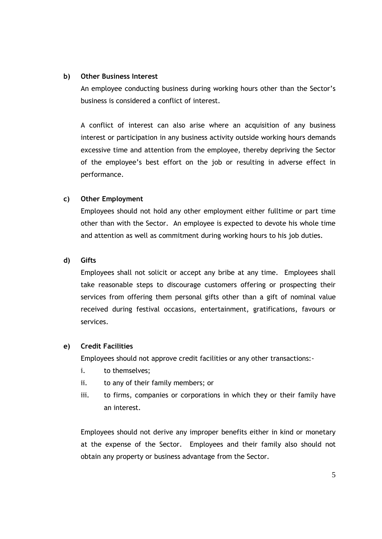#### **b) Other Business Interest**

An employee conducting business during working hours other than the Sector's business is considered a conflict of interest.

A conflict of interest can also arise where an acquisition of any business interest or participation in any business activity outside working hours demands excessive time and attention from the employee, thereby depriving the Sector of the employee's best effort on the job or resulting in adverse effect in performance.

#### **c) Other Employment**

Employees should not hold any other employment either fulltime or part time other than with the Sector. An employee is expected to devote his whole time and attention as well as commitment during working hours to his job duties.

#### **d) Gifts**

Employees shall not solicit or accept any bribe at any time. Employees shall take reasonable steps to discourage customers offering or prospecting their services from offering them personal gifts other than a gift of nominal value received during festival occasions, entertainment, gratifications, favours or services.

#### **e) Credit Facilities**

Employees should not approve credit facilities or any other transactions:-

- i. to themselves;
- ii. to any of their family members; or
- iii. to firms, companies or corporations in which they or their family have an interest.

Employees should not derive any improper benefits either in kind or monetary at the expense of the Sector. Employees and their family also should not obtain any property or business advantage from the Sector.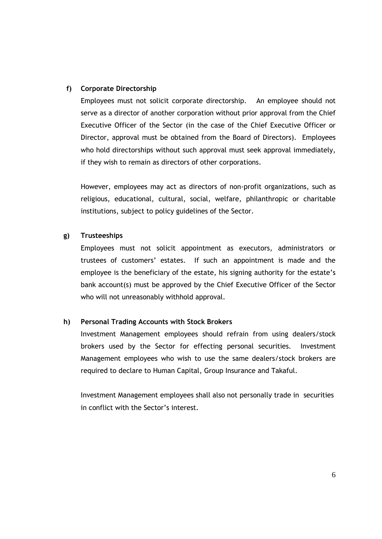### **f) Corporate Directorship**

Employees must not solicit corporate directorship. An employee should not serve as a director of another corporation without prior approval from the Chief Executive Officer of the Sector (in the case of the Chief Executive Officer or Director, approval must be obtained from the Board of Directors). Employees who hold directorships without such approval must seek approval immediately, if they wish to remain as directors of other corporations.

However, employees may act as directors of non-profit organizations, such as religious, educational, cultural, social, welfare, philanthropic or charitable institutions, subject to policy guidelines of the Sector.

#### **g) Trusteeships**

Employees must not solicit appointment as executors, administrators or trustees of customers' estates. If such an appointment is made and the employee is the beneficiary of the estate, his signing authority for the estate's bank account(s) must be approved by the Chief Executive Officer of the Sector who will not unreasonably withhold approval.

# **h) Personal Trading Accounts with Stock Brokers**

Investment Management employees should refrain from using dealers/stock brokers used by the Sector for effecting personal securities. Investment Management employees who wish to use the same dealers/stock brokers are required to declare to Human Capital, Group Insurance and Takaful.

Investment Management employees shall also not personally trade in securities in conflict with the Sector's interest.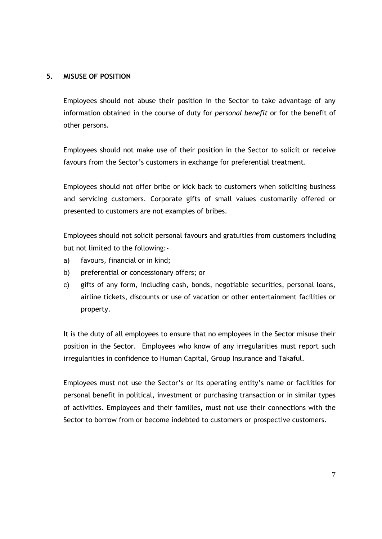# **5. MISUSE OF POSITION**

Employees should not abuse their position in the Sector to take advantage of any information obtained in the course of duty for *personal benefit* or for the benefit of other persons.

Employees should not make use of their position in the Sector to solicit or receive favours from the Sector's customers in exchange for preferential treatment.

Employees should not offer bribe or kick back to customers when soliciting business and servicing customers. Corporate gifts of small values customarily offered or presented to customers are not examples of bribes.

Employees should not solicit personal favours and gratuities from customers including but not limited to the following:-

- a) favours, financial or in kind;
- b) preferential or concessionary offers; or
- c) gifts of any form, including cash, bonds, negotiable securities, personal loans, airline tickets, discounts or use of vacation or other entertainment facilities or property.

It is the duty of all employees to ensure that no employees in the Sector misuse their position in the Sector. Employees who know of any irregularities must report such irregularities in confidence to Human Capital, Group Insurance and Takaful.

Employees must not use the Sector's or its operating entity's name or facilities for personal benefit in political, investment or purchasing transaction or in similar types of activities. Employees and their families, must not use their connections with the Sector to borrow from or become indebted to customers or prospective customers.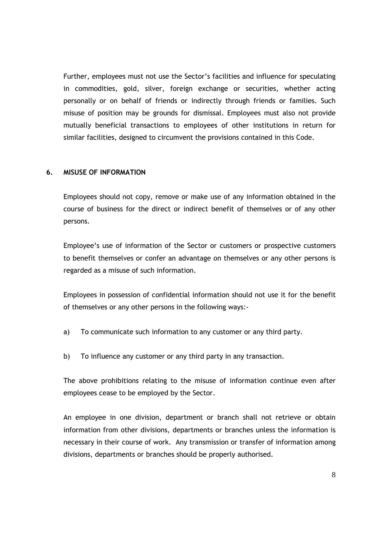Further, employees must not use the Sector's facilities and influence for speculating in commodities, gold, silver, foreign exchange or securities, whether acting personally or on behalf of friends or indirectly through friends or families. Such misuse of position may be grounds for dismissal. Employees must also not provide mutually beneficial transactions to employees of other institutions in return for similar facilities, designed to circumvent the provisions contained in this Code.

#### **6. MISUSE OF INFORMATION**

Employees should not copy, remove or make use of any information obtained in the course of business for the direct or indirect benefit of themselves or of any other persons.

Employee's use of information of the Sector or customers or prospective customers to benefit themselves or confer an advantage on themselves or any other persons is regarded as a misuse of such information.

Employees in possession of confidential information should not use it for the benefit of themselves or any other persons in the following ways:-

- a) To communicate such information to any customer or any third party.
- b) To influence any customer or any third party in any transaction.

The above prohibitions relating to the misuse of information continue even after employees cease to be employed by the Sector.

An employee in one division, department or branch shall not retrieve or obtain information from other divisions, departments or branches unless the information is necessary in their course of work. Any transmission or transfer of information among divisions, departments or branches should be properly authorised.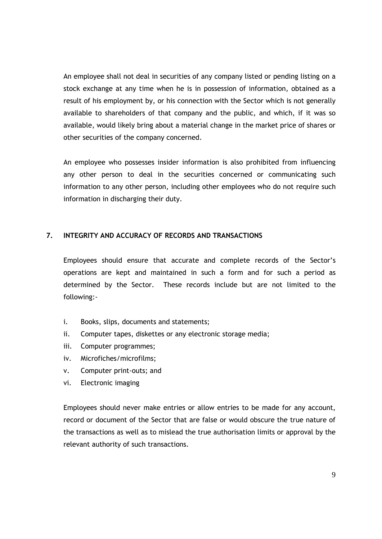An employee shall not deal in securities of any company listed or pending listing on a stock exchange at any time when he is in possession of information, obtained as a result of his employment by, or his connection with the Sector which is not generally available to shareholders of that company and the public, and which, if it was so available, would likely bring about a material change in the market price of shares or other securities of the company concerned.

An employee who possesses insider information is also prohibited from influencing any other person to deal in the securities concerned or communicating such information to any other person, including other employees who do not require such information in discharging their duty.

#### **7. INTEGRITY AND ACCURACY OF RECORDS AND TRANSACTIONS**

Employees should ensure that accurate and complete records of the Sector's operations are kept and maintained in such a form and for such a period as determined by the Sector. These records include but are not limited to the following:-

- i. Books, slips, documents and statements;
- ii. Computer tapes, diskettes or any electronic storage media;
- iii. Computer programmes;
- iv. Microfiches/microfilms;
- v. Computer print-outs; and
- vi. Electronic imaging

Employees should never make entries or allow entries to be made for any account, record or document of the Sector that are false or would obscure the true nature of the transactions as well as to mislead the true authorisation limits or approval by the relevant authority of such transactions.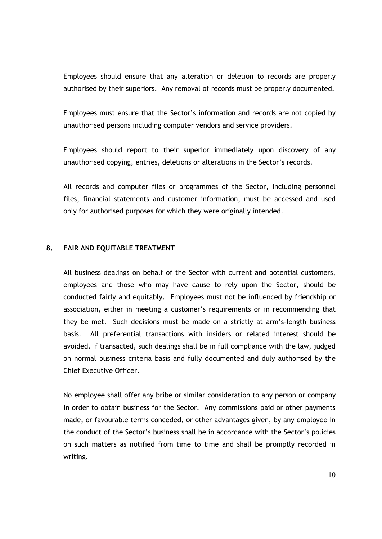Employees should ensure that any alteration or deletion to records are properly authorised by their superiors. Any removal of records must be properly documented.

Employees must ensure that the Sector's information and records are not copied by unauthorised persons including computer vendors and service providers.

Employees should report to their superior immediately upon discovery of any unauthorised copying, entries, deletions or alterations in the Sector's records.

All records and computer files or programmes of the Sector, including personnel files, financial statements and customer information, must be accessed and used only for authorised purposes for which they were originally intended.

#### **8. FAIR AND EQUITABLE TREATMENT**

All business dealings on behalf of the Sector with current and potential customers, employees and those who may have cause to rely upon the Sector, should be conducted fairly and equitably. Employees must not be influenced by friendship or association, either in meeting a customer's requirements or in recommending that they be met. Such decisions must be made on a strictly at arm's-length business basis. All preferential transactions with insiders or related interest should be avoided. If transacted, such dealings shall be in full compliance with the law, judged on normal business criteria basis and fully documented and duly authorised by the Chief Executive Officer.

No employee shall offer any bribe or similar consideration to any person or company in order to obtain business for the Sector. Any commissions paid or other payments made, or favourable terms conceded, or other advantages given, by any employee in the conduct of the Sector's business shall be in accordance with the Sector's policies on such matters as notified from time to time and shall be promptly recorded in writing.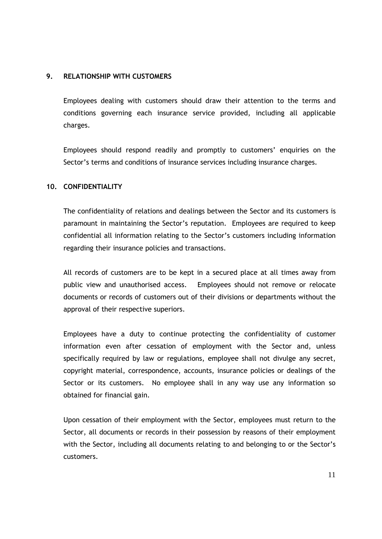### **9. RELATIONSHIP WITH CUSTOMERS**

Employees dealing with customers should draw their attention to the terms and conditions governing each insurance service provided, including all applicable charges.

Employees should respond readily and promptly to customers' enquiries on the Sector's terms and conditions of insurance services including insurance charges.

# **10. CONFIDENTIALITY**

The confidentiality of relations and dealings between the Sector and its customers is paramount in maintaining the Sector's reputation. Employees are required to keep confidential all information relating to the Sector's customers including information regarding their insurance policies and transactions.

All records of customers are to be kept in a secured place at all times away from public view and unauthorised access. Employees should not remove or relocate documents or records of customers out of their divisions or departments without the approval of their respective superiors.

Employees have a duty to continue protecting the confidentiality of customer information even after cessation of employment with the Sector and, unless specifically required by law or regulations, employee shall not divulge any secret, copyright material, correspondence, accounts, insurance policies or dealings of the Sector or its customers. No employee shall in any way use any information so obtained for financial gain.

Upon cessation of their employment with the Sector, employees must return to the Sector, all documents or records in their possession by reasons of their employment with the Sector, including all documents relating to and belonging to or the Sector's customers.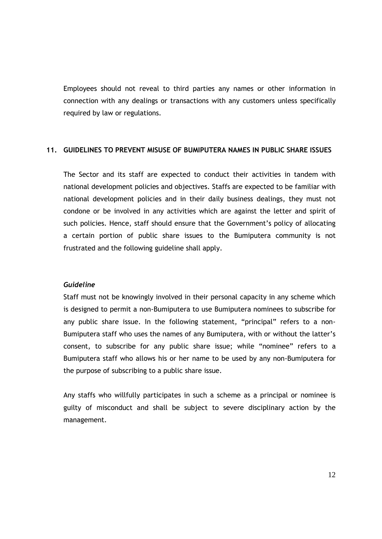Employees should not reveal to third parties any names or other information in connection with any dealings or transactions with any customers unless specifically required by law or regulations.

#### **11. GUIDELINES TO PREVENT MISUSE OF BUMIPUTERA NAMES IN PUBLIC SHARE ISSUES**

The Sector and its staff are expected to conduct their activities in tandem with national development policies and objectives. Staffs are expected to be familiar with national development policies and in their daily business dealings, they must not condone or be involved in any activities which are against the letter and spirit of such policies. Hence, staff should ensure that the Government's policy of allocating a certain portion of public share issues to the Bumiputera community is not frustrated and the following guideline shall apply.

#### *Guideline*

Staff must not be knowingly involved in their personal capacity in any scheme which is designed to permit a non-Bumiputera to use Bumiputera nominees to subscribe for any public share issue. In the following statement, "principal" refers to a non-Bumiputera staff who uses the names of any Bumiputera, with or without the latter's consent, to subscribe for any public share issue; while "nominee" refers to a Bumiputera staff who allows his or her name to be used by any non-Bumiputera for the purpose of subscribing to a public share issue.

Any staffs who willfully participates in such a scheme as a principal or nominee is guilty of misconduct and shall be subject to severe disciplinary action by the management.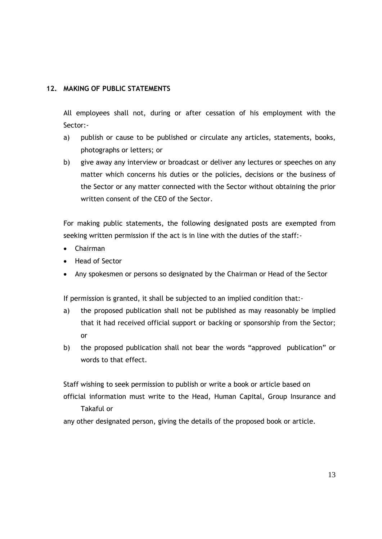# **12. MAKING OF PUBLIC STATEMENTS**

All employees shall not, during or after cessation of his employment with the Sector:-

- a) publish or cause to be published or circulate any articles, statements, books, photographs or letters; or
- b) give away any interview or broadcast or deliver any lectures or speeches on any matter which concerns his duties or the policies, decisions or the business of the Sector or any matter connected with the Sector without obtaining the prior written consent of the CEO of the Sector.

For making public statements, the following designated posts are exempted from seeking written permission if the act is in line with the duties of the staff:-

- Chairman
- Head of Sector
- Any spokesmen or persons so designated by the Chairman or Head of the Sector

If permission is granted, it shall be subjected to an implied condition that:-

- a) the proposed publication shall not be published as may reasonably be implied that it had received official support or backing or sponsorship from the Sector; or
- b) the proposed publication shall not bear the words "approved publication" or words to that effect.

Staff wishing to seek permission to publish or write a book or article based on official information must write to the Head, Human Capital, Group Insurance and Takaful or

any other designated person, giving the details of the proposed book or article.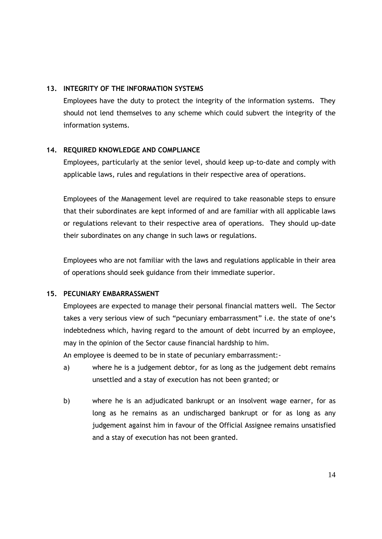# **13. INTEGRITY OF THE INFORMATION SYSTEMS**

Employees have the duty to protect the integrity of the information systems. They should not lend themselves to any scheme which could subvert the integrity of the information systems.

# **14. REQUIRED KNOWLEDGE AND COMPLIANCE**

Employees, particularly at the senior level, should keep up-to-date and comply with applicable laws, rules and regulations in their respective area of operations.

Employees of the Management level are required to take reasonable steps to ensure that their subordinates are kept informed of and are familiar with all applicable laws or regulations relevant to their respective area of operations. They should up-date their subordinates on any change in such laws or regulations.

Employees who are not familiar with the laws and regulations applicable in their area of operations should seek guidance from their immediate superior.

# **15. PECUNIARY EMBARRASSMENT**

Employees are expected to manage their personal financial matters well. The Sector takes a very serious view of such "pecuniary embarrassment" i.e. the state of one's indebtedness which, having regard to the amount of debt incurred by an employee, may in the opinion of the Sector cause financial hardship to him.

An employee is deemed to be in state of pecuniary embarrassment:-

- a) where he is a judgement debtor, for as long as the judgement debt remains unsettled and a stay of execution has not been granted; or
- b) where he is an adjudicated bankrupt or an insolvent wage earner, for as long as he remains as an undischarged bankrupt or for as long as any judgement against him in favour of the Official Assignee remains unsatisfied and a stay of execution has not been granted.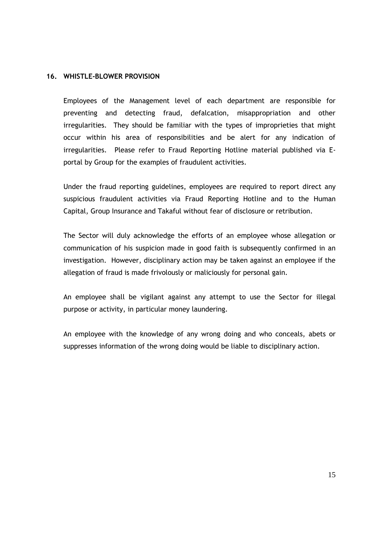#### **16. WHISTLE-BLOWER PROVISION**

Employees of the Management level of each department are responsible for preventing and detecting fraud, defalcation, misappropriation and other irregularities. They should be familiar with the types of improprieties that might occur within his area of responsibilities and be alert for any indication of irregularities. Please refer to Fraud Reporting Hotline material published via Eportal by Group for the examples of fraudulent activities.

Under the fraud reporting guidelines, employees are required to report direct any suspicious fraudulent activities via Fraud Reporting Hotline and to the Human Capital, Group Insurance and Takaful without fear of disclosure or retribution.

The Sector will duly acknowledge the efforts of an employee whose allegation or communication of his suspicion made in good faith is subsequently confirmed in an investigation. However, disciplinary action may be taken against an employee if the allegation of fraud is made frivolously or maliciously for personal gain.

An employee shall be vigilant against any attempt to use the Sector for illegal purpose or activity, in particular money laundering.

An employee with the knowledge of any wrong doing and who conceals, abets or suppresses information of the wrong doing would be liable to disciplinary action.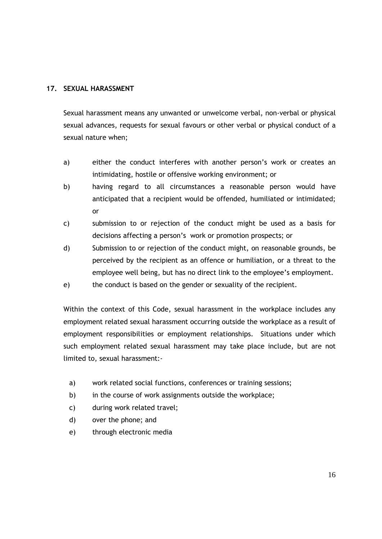# **17. SEXUAL HARASSMENT**

Sexual harassment means any unwanted or unwelcome verbal, non-verbal or physical sexual advances, requests for sexual favours or other verbal or physical conduct of a sexual nature when;

- a) either the conduct interferes with another person's work or creates an intimidating, hostile or offensive working environment; or
- b) having regard to all circumstances a reasonable person would have anticipated that a recipient would be offended, humiliated or intimidated; or
- c) submission to or rejection of the conduct might be used as a basis for decisions affecting a person's work or promotion prospects; or
- d) Submission to or rejection of the conduct might, on reasonable grounds, be perceived by the recipient as an offence or humiliation, or a threat to the employee well being, but has no direct link to the employee's employment.
- e) the conduct is based on the gender or sexuality of the recipient.

Within the context of this Code, sexual harassment in the workplace includes any employment related sexual harassment occurring outside the workplace as a result of employment responsibilities or employment relationships. Situations under which such employment related sexual harassment may take place include, but are not limited to, sexual harassment:-

- a) work related social functions, conferences or training sessions;
- b) in the course of work assignments outside the workplace;
- c) during work related travel;
- d) over the phone; and
- e) through electronic media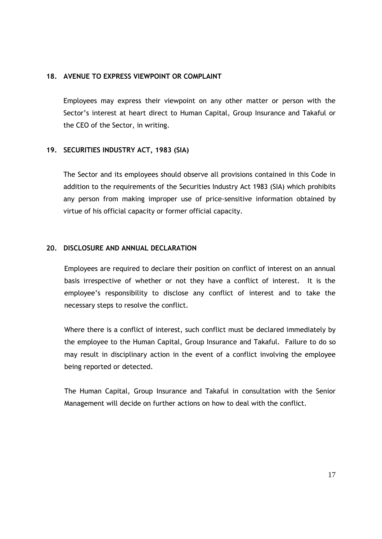#### **18. AVENUE TO EXPRESS VIEWPOINT OR COMPLAINT**

Employees may express their viewpoint on any other matter or person with the Sector's interest at heart direct to Human Capital, Group Insurance and Takaful or the CEO of the Sector, in writing.

# **19. SECURITIES INDUSTRY ACT, 1983 (SIA)**

The Sector and its employees should observe all provisions contained in this Code in addition to the requirements of the Securities Industry Act 1983 (SIA) which prohibits any person from making improper use of price-sensitive information obtained by virtue of his official capacity or former official capacity.

#### **20. DISCLOSURE AND ANNUAL DECLARATION**

Employees are required to declare their position on conflict of interest on an annual basis irrespective of whether or not they have a conflict of interest. It is the employee's responsibility to disclose any conflict of interest and to take the necessary steps to resolve the conflict.

Where there is a conflict of interest, such conflict must be declared immediately by the employee to the Human Capital, Group Insurance and Takaful. Failure to do so may result in disciplinary action in the event of a conflict involving the employee being reported or detected.

The Human Capital, Group Insurance and Takaful in consultation with the Senior Management will decide on further actions on how to deal with the conflict.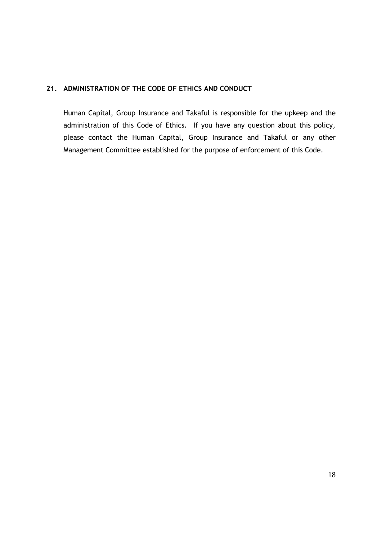# **21. ADMINISTRATION OF THE CODE OF ETHICS AND CONDUCT**

Human Capital, Group Insurance and Takaful is responsible for the upkeep and the administration of this Code of Ethics. If you have any question about this policy, please contact the Human Capital, Group Insurance and Takaful or any other Management Committee established for the purpose of enforcement of this Code.